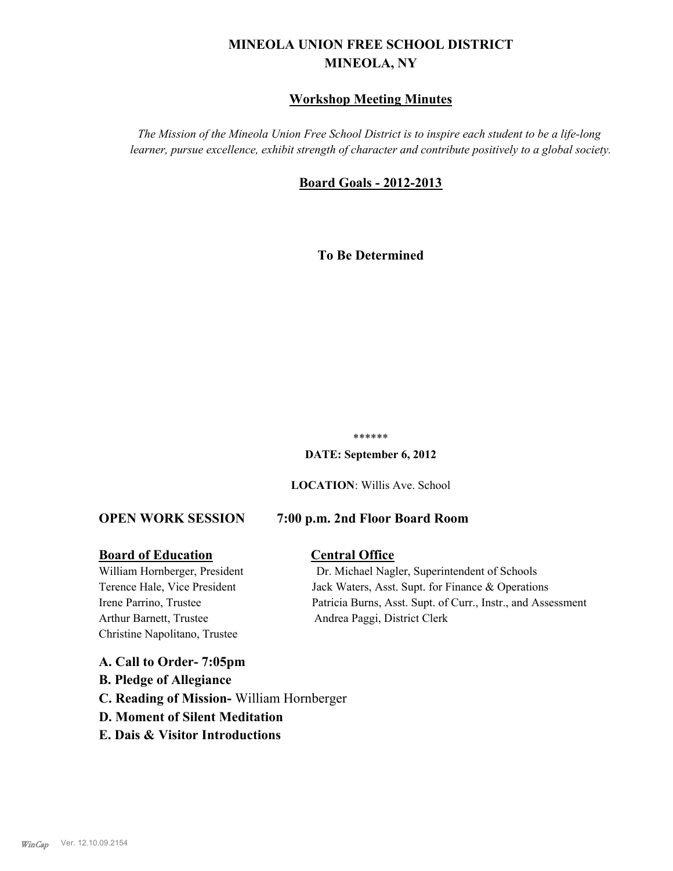# **MINEOLA UNION FREE SCHOOL DISTRICT MINEOLA, NY**

#### **Workshop Meeting Minutes**

*The Mission of the Mineola Union Free School District is to inspire each student to be a life-long learner, pursue excellence, exhibit strength of character and contribute positively to a global society.*

#### **Board Goals - 2012-2013**

**To Be Determined**

#### \*\*\*\*\*\*

**DATE: September 6, 2012**

**LOCATION**: Willis Ave. School

#### **OPEN WORK SESSION 7:00 p.m. 2nd Floor Board Room**

#### **Board of Education Central Office**

Arthur Barnett, Trustee Andrea Paggi, District Clerk Christine Napolitano, Trustee

# William Hornberger, President Dr. Michael Nagler, Superintendent of Schools Terence Hale, Vice President Jack Waters, Asst. Supt. for Finance & Operations Irene Parrino, Trustee Patricia Burns, Asst. Supt. of Curr., Instr., and Assessment

**A. Call to Order- 7:05pm B. Pledge of Allegiance C. Reading of Mission-** William Hornberger **D. Moment of Silent Meditation E. Dais & Visitor Introductions**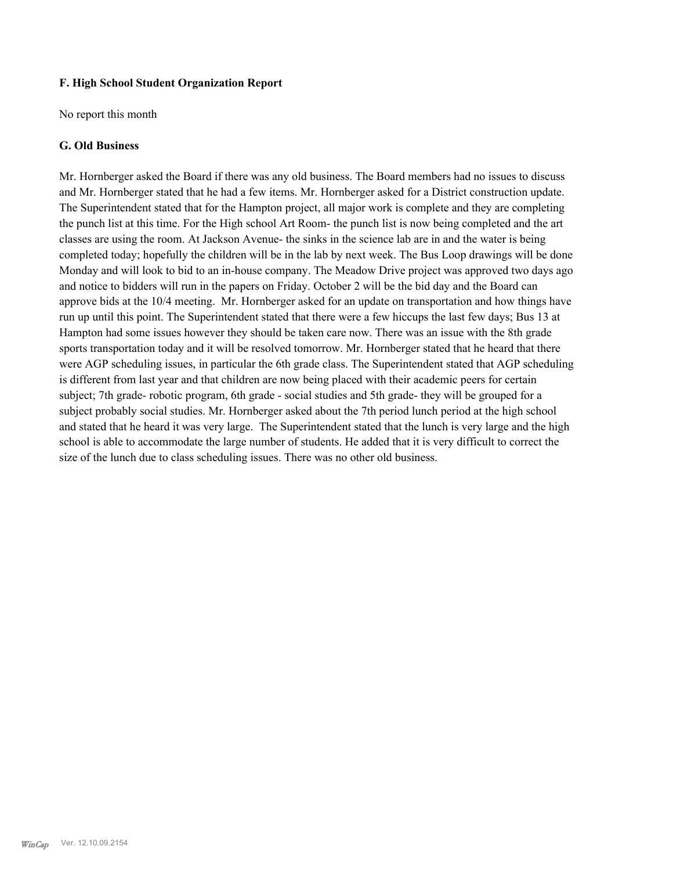#### **F. High School Student Organization Report**

No report this month

#### **G. Old Business**

Mr. Hornberger asked the Board if there was any old business. The Board members had no issues to discuss and Mr. Hornberger stated that he had a few items. Mr. Hornberger asked for a District construction update. The Superintendent stated that for the Hampton project, all major work is complete and they are completing the punch list at this time. For the High school Art Room- the punch list is now being completed and the art classes are using the room. At Jackson Avenue- the sinks in the science lab are in and the water is being completed today; hopefully the children will be in the lab by next week. The Bus Loop drawings will be done Monday and will look to bid to an in-house company. The Meadow Drive project was approved two days ago and notice to bidders will run in the papers on Friday. October 2 will be the bid day and the Board can approve bids at the 10/4 meeting. Mr. Hornberger asked for an update on transportation and how things have run up until this point. The Superintendent stated that there were a few hiccups the last few days; Bus 13 at Hampton had some issues however they should be taken care now. There was an issue with the 8th grade sports transportation today and it will be resolved tomorrow. Mr. Hornberger stated that he heard that there were AGP scheduling issues, in particular the 6th grade class. The Superintendent stated that AGP scheduling is different from last year and that children are now being placed with their academic peers for certain subject; 7th grade- robotic program, 6th grade - social studies and 5th grade- they will be grouped for a subject probably social studies. Mr. Hornberger asked about the 7th period lunch period at the high school and stated that he heard it was very large. The Superintendent stated that the lunch is very large and the high school is able to accommodate the large number of students. He added that it is very difficult to correct the size of the lunch due to class scheduling issues. There was no other old business.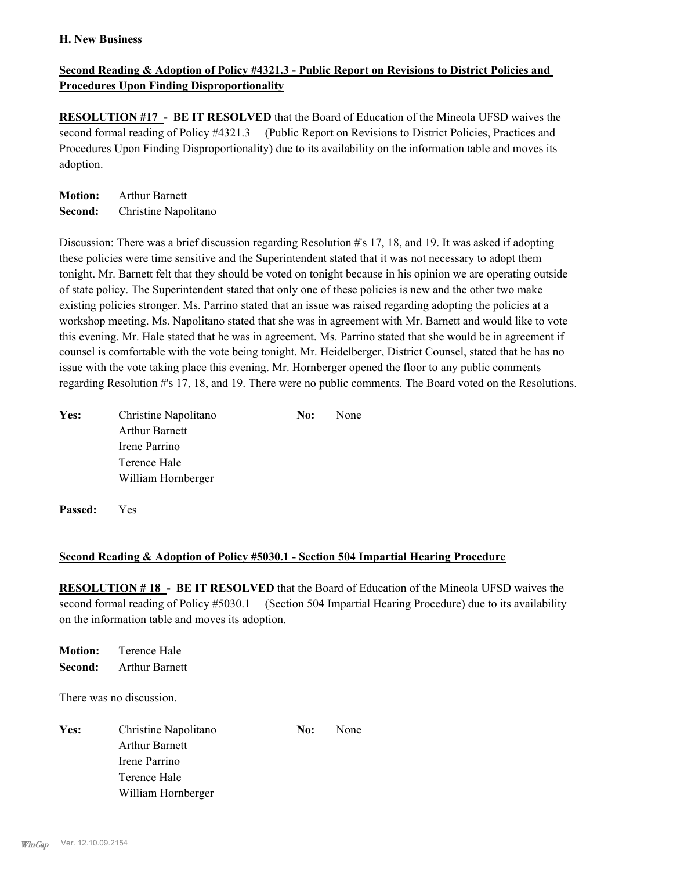#### **H. New Business**

#### **Second Reading & Adoption of Policy #4321.3 - Public Report on Revisions to District Policies and Procedures Upon Finding Disproportionality**

**RESOLUTION #17 - BE IT RESOLVED** that the Board of Education of the Mineola UFSD waives the second formal reading of Policy #4321.3 (Public Report on Revisions to District Policies, Practices and Procedures Upon Finding Disproportionality) due to its availability on the information table and moves its adoption.

**Motion:** Arthur Barnett **Second:** Christine Napolitano

Discussion: There was a brief discussion regarding Resolution #'s 17, 18, and 19. It was asked if adopting these policies were time sensitive and the Superintendent stated that it was not necessary to adopt them tonight. Mr. Barnett felt that they should be voted on tonight because in his opinion we are operating outside of state policy. The Superintendent stated that only one of these policies is new and the other two make existing policies stronger. Ms. Parrino stated that an issue was raised regarding adopting the policies at a workshop meeting. Ms. Napolitano stated that she was in agreement with Mr. Barnett and would like to vote this evening. Mr. Hale stated that he was in agreement. Ms. Parrino stated that she would be in agreement if counsel is comfortable with the vote being tonight. Mr. Heidelberger, District Counsel, stated that he has no issue with the vote taking place this evening. Mr. Hornberger opened the floor to any public comments regarding Resolution #'s 17, 18, and 19. There were no public comments. The Board voted on the Resolutions.

| Yes: | Christine Napolitano  | No: | None |
|------|-----------------------|-----|------|
|      | <b>Arthur Barnett</b> |     |      |
|      | Irene Parrino         |     |      |
|      | Terence Hale          |     |      |
|      | William Hornberger    |     |      |
|      |                       |     |      |

**Passed:** Yes

#### **Second Reading & Adoption of Policy #5030.1 - Section 504 Impartial Hearing Procedure**

**RESOLUTION # 18 - BE IT RESOLVED** that the Board of Education of the Mineola UFSD waives the second formal reading of Policy #5030.1 (Section 504 Impartial Hearing Procedure) due to its availability on the information table and moves its adoption.

**Motion:** Terence Hale **Second:** Arthur Barnett

There was no discussion.

Yes: Christine Napolitano **No:** None Arthur Barnett Irene Parrino Terence Hale William Hornberger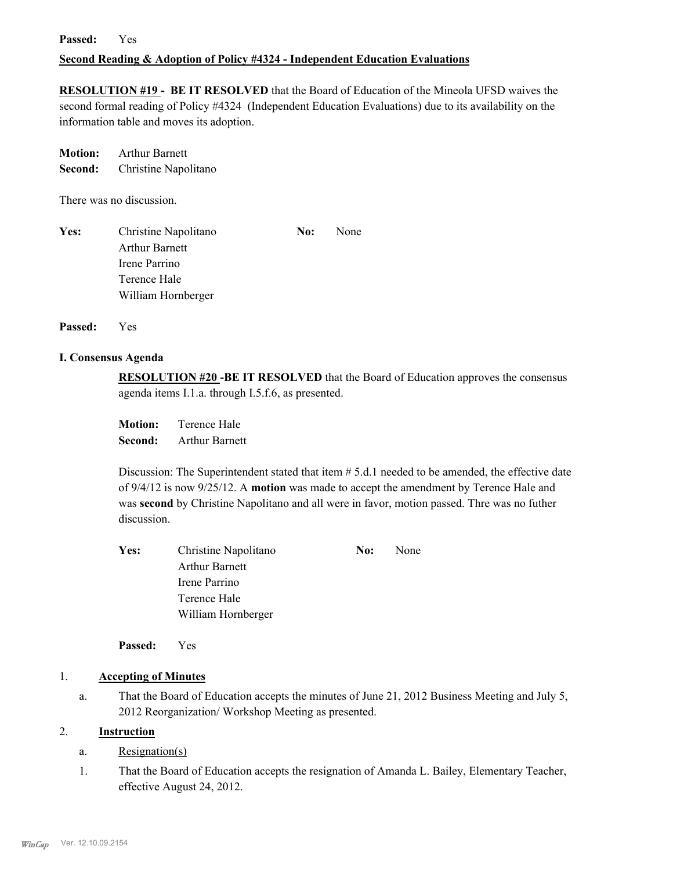#### **Passed:** Yes

#### **Second Reading & Adoption of Policy #4324 - Independent Education Evaluations**

**RESOLUTION #19 - BE IT RESOLVED** that the Board of Education of the Mineola UFSD waives the second formal reading of Policy #4324 (Independent Education Evaluations) due to its availability on the information table and moves its adoption.

**Motion:** Arthur Barnett **Second:** Christine Napolitano

There was no discussion.

| Yes: | Christine Napolitano  | No: | None |
|------|-----------------------|-----|------|
|      | <b>Arthur Barnett</b> |     |      |
|      | Irene Parrino         |     |      |
|      | Terence Hale          |     |      |
|      | William Hornberger    |     |      |

**Passed:** Yes

#### **I. Consensus Agenda**

**RESOLUTION #20 -BE IT RESOLVED** that the Board of Education approves the consensus agenda items I.1.a. through I.5.f.6, as presented.

**Motion:** Terence Hale **Second:** Arthur Barnett

Discussion: The Superintendent stated that item # 5.d.1 needed to be amended, the effective date of 9/4/12 is now 9/25/12. A **motion** was made to accept the amendment by Terence Hale and was **second** by Christine Napolitano and all were in favor, motion passed. Thre was no futher discussion.

| Christine Napolitano<br>Yes: |                       | No: | None |
|------------------------------|-----------------------|-----|------|
|                              | <b>Arthur Barnett</b> |     |      |
|                              | Irene Parrino         |     |      |
|                              | Terence Hale          |     |      |
|                              | William Hornberger    |     |      |

**Passed:** Yes

#### 1. **Accepting of Minutes**

That the Board of Education accepts the minutes of June 21, 2012 Business Meeting and July 5, 2012 Reorganization/ Workshop Meeting as presented. a.

#### 2. **Instruction**

- a. Resignation(s)
- That the Board of Education accepts the resignation of Amanda L. Bailey, Elementary Teacher, effective August 24, 2012. 1.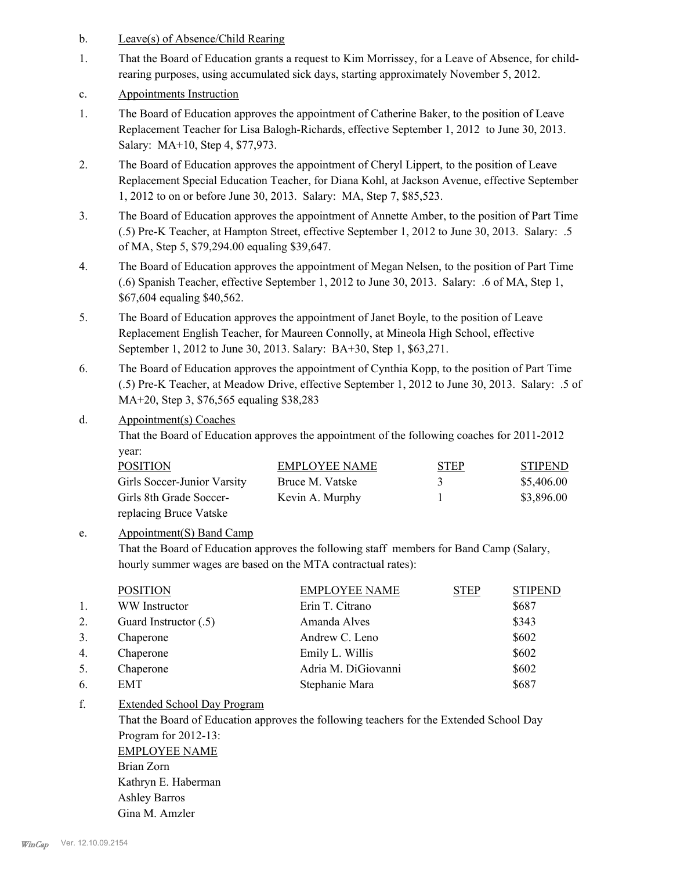- b. Leave(s) of Absence/Child Rearing
- That the Board of Education grants a request to Kim Morrissey, for a Leave of Absence, for childrearing purposes, using accumulated sick days, starting approximately November 5, 2012. 1.
- c. Appointments Instruction
- The Board of Education approves the appointment of Catherine Baker, to the position of Leave Replacement Teacher for Lisa Balogh-Richards, effective September 1, 2012 to June 30, 2013. Salary: MA+10, Step 4, \$77,973. 1.
- The Board of Education approves the appointment of Cheryl Lippert, to the position of Leave Replacement Special Education Teacher, for Diana Kohl, at Jackson Avenue, effective September 1, 2012 to on or before June 30, 2013. Salary: MA, Step 7, \$85,523. 2.
- The Board of Education approves the appointment of Annette Amber, to the position of Part Time (.5) Pre-K Teacher, at Hampton Street, effective September 1, 2012 to June 30, 2013. Salary: .5 of MA, Step 5, \$79,294.00 equaling \$39,647. 3.
- The Board of Education approves the appointment of Megan Nelsen, to the position of Part Time (.6) Spanish Teacher, effective September 1, 2012 to June 30, 2013. Salary: .6 of MA, Step 1, \$67,604 equaling \$40,562. 4.
- The Board of Education approves the appointment of Janet Boyle, to the position of Leave Replacement English Teacher, for Maureen Connolly, at Mineola High School, effective September 1, 2012 to June 30, 2013. Salary: BA+30, Step 1, \$63,271. 5.
- The Board of Education approves the appointment of Cynthia Kopp, to the position of Part Time (.5) Pre-K Teacher, at Meadow Drive, effective September 1, 2012 to June 30, 2013. Salary: .5 of MA+20, Step 3, \$76,565 equaling \$38,283 6.

#### Appointment(s) Coaches d.

That the Board of Education approves the appointment of the following coaches for 2011-2012 year:

| <b>POSITION</b>             | <b>EMPLOYEE NAME</b> | <b>STEP</b> | <b>STIPEND</b> |
|-----------------------------|----------------------|-------------|----------------|
| Girls Soccer-Junior Varsity | Bruce M. Vatske      | 3           | \$5,406.00     |
| Girls 8th Grade Soccer-     | Kevin A. Murphy      |             | \$3,896.00     |
| replacing Bruce Vatske      |                      |             |                |

#### Appointment(S) Band Camp e.

That the Board of Education approves the following staff members for Band Camp (Salary, hourly summer wages are based on the MTA contractual rates):

|    | <b>POSITION</b>       | <b>EMPLOYEE NAME</b> | <b>STEP</b> | <b>STIPEND</b> |
|----|-----------------------|----------------------|-------------|----------------|
| 1. | WW Instructor         | Erin T. Citrano      |             | \$687          |
| 2. | Guard Instructor (.5) | Amanda Alves         |             | \$343          |
| 3. | Chaperone             | Andrew C. Leno       |             | \$602          |
| 4. | Chaperone             | Emily L. Willis      |             | \$602          |
| 5. | Chaperone             | Adria M. DiGiovanni  |             | \$602          |
| 6. | EMT                   | Stephanie Mara       |             | \$687          |
|    |                       |                      |             |                |

Extended School Day Program f.

> That the Board of Education approves the following teachers for the Extended School Day Program for 2012-13: EMPLOYEE NAME

Brian Zorn Kathryn E. Haberman Ashley Barros Gina M. Amzler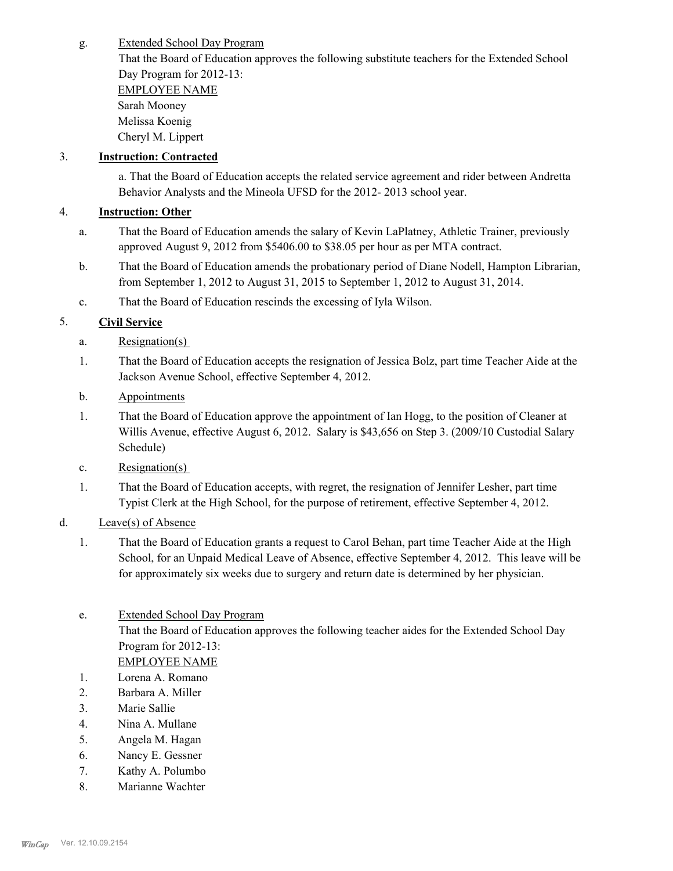Extended School Day Program g.

> That the Board of Education approves the following substitute teachers for the Extended School Day Program for 2012-13:

EMPLOYEE NAME Sarah Mooney Melissa Koenig Cheryl M. Lippert

### 3. **Instruction: Contracted**

a. That the Board of Education accepts the related service agreement and rider between Andretta Behavior Analysts and the Mineola UFSD for the 2012- 2013 school year.

## 4. **Instruction: Other**

- That the Board of Education amends the salary of Kevin LaPlatney, Athletic Trainer, previously approved August 9, 2012 from \$5406.00 to \$38.05 per hour as per MTA contract. a.
- That the Board of Education amends the probationary period of Diane Nodell, Hampton Librarian, from September 1, 2012 to August 31, 2015 to September 1, 2012 to August 31, 2014. b.
- c. That the Board of Education rescinds the excessing of Iyla Wilson.

## 5. **Civil Service**

- a. Resignation(s)
- That the Board of Education accepts the resignation of Jessica Bolz, part time Teacher Aide at the Jackson Avenue School, effective September 4, 2012. 1.
- b. Appointments
- That the Board of Education approve the appointment of Ian Hogg, to the position of Cleaner at Willis Avenue, effective August 6, 2012. Salary is \$43,656 on Step 3. (2009/10 Custodial Salary Schedule) 1.
- c. Resignation(s)
- That the Board of Education accepts, with regret, the resignation of Jennifer Lesher, part time Typist Clerk at the High School, for the purpose of retirement, effective September 4, 2012. 1.
- d. Leave(s) of Absence
	- That the Board of Education grants a request to Carol Behan, part time Teacher Aide at the High School, for an Unpaid Medical Leave of Absence, effective September 4, 2012. This leave will be for approximately six weeks due to surgery and return date is determined by her physician. 1.
	- Extended School Day Program That the Board of Education approves the following teacher aides for the Extended School Day Program for 2012-13: e. EMPLOYEE NAME
	- 1. Lorena A. Romano
	- 2. Barbara A. Miller
	- 3. Marie Sallie
	- 4. Nina A. Mullane
	- 5. Angela M. Hagan
	- 6. Nancy E. Gessner
	- 7. Kathy A. Polumbo
	- 8. Marianne Wachter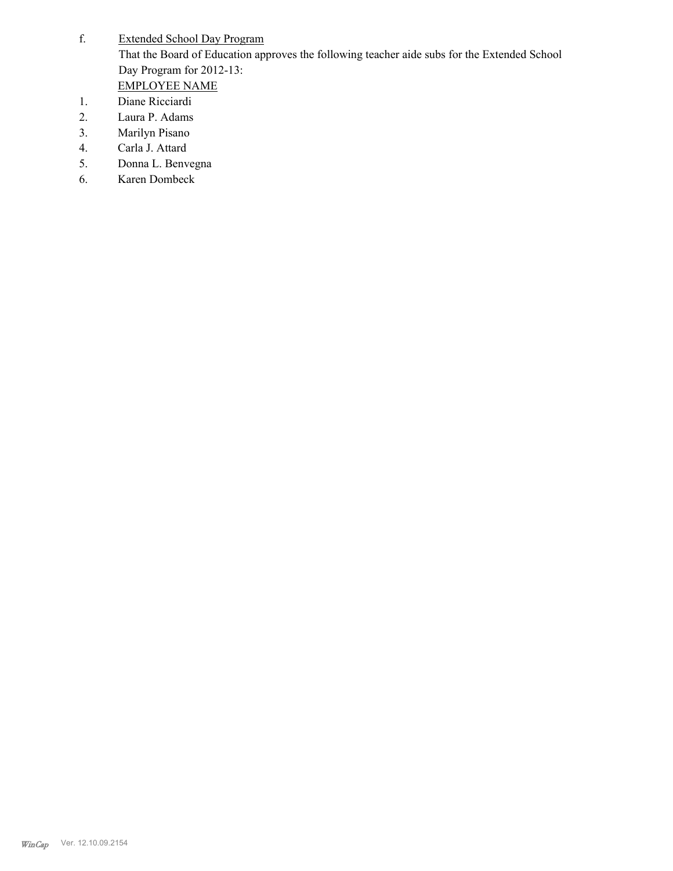- Extended School Day Program That the Board of Education approves the following teacher aide subs for the Extended School Day Program for 2012-13: f. EMPLOYEE NAME
- 1. Diane Ricciardi
- 2. Laura P. Adams
- 3. Marilyn Pisano
- 4. Carla J. Attard
- 5. Donna L. Benvegna
- 6. Karen Dombeck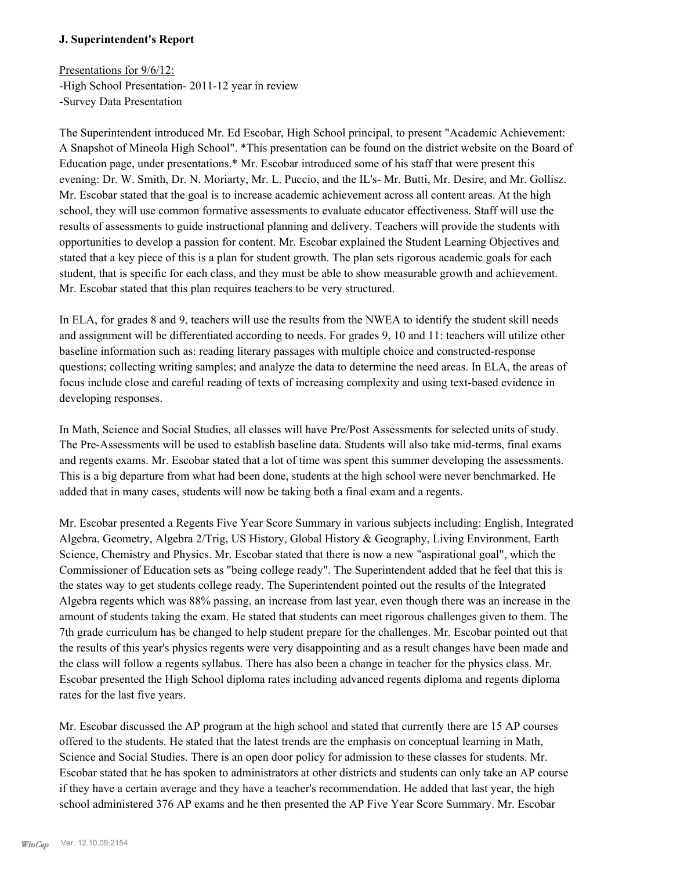#### **J. Superintendent's Report**

Presentations for 9/6/12: -High School Presentation- 2011-12 year in review -Survey Data Presentation

The Superintendent introduced Mr. Ed Escobar, High School principal, to present "Academic Achievement: A Snapshot of Mineola High School". \*This presentation can be found on the district website on the Board of Education page, under presentations.\* Mr. Escobar introduced some of his staff that were present this evening: Dr. W. Smith, Dr. N. Moriarty, Mr. L. Puccio, and the IL's- Mr. Butti, Mr. Desire, and Mr. Gollisz. Mr. Escobar stated that the goal is to increase academic achievement across all content areas. At the high school, they will use common formative assessments to evaluate educator effectiveness. Staff will use the results of assessments to guide instructional planning and delivery. Teachers will provide the students with opportunities to develop a passion for content. Mr. Escobar explained the Student Learning Objectives and stated that a key piece of this is a plan for student growth. The plan sets rigorous academic goals for each student, that is specific for each class, and they must be able to show measurable growth and achievement. Mr. Escobar stated that this plan requires teachers to be very structured.

In ELA, for grades 8 and 9, teachers will use the results from the NWEA to identify the student skill needs and assignment will be differentiated according to needs. For grades 9, 10 and 11: teachers will utilize other baseline information such as: reading literary passages with multiple choice and constructed-response questions; collecting writing samples; and analyze the data to determine the need areas. In ELA, the areas of focus include close and careful reading of texts of increasing complexity and using text-based evidence in developing responses.

In Math, Science and Social Studies, all classes will have Pre/Post Assessments for selected units of study. The Pre-Assessments will be used to establish baseline data. Students will also take mid-terms, final exams and regents exams. Mr. Escobar stated that a lot of time was spent this summer developing the assessments. This is a big departure from what had been done, students at the high school were never benchmarked. He added that in many cases, students will now be taking both a final exam and a regents.

Mr. Escobar presented a Regents Five Year Score Summary in various subjects including: English, Integrated Algebra, Geometry, Algebra 2/Trig, US History, Global History & Geography, Living Environment, Earth Science, Chemistry and Physics. Mr. Escobar stated that there is now a new "aspirational goal", which the Commissioner of Education sets as "being college ready". The Superintendent added that he feel that this is the states way to get students college ready. The Superintendent pointed out the results of the Integrated Algebra regents which was 88% passing, an increase from last year, even though there was an increase in the amount of students taking the exam. He stated that students can meet rigorous challenges given to them. The 7th grade curriculum has be changed to help student prepare for the challenges. Mr. Escobar pointed out that the results of this year's physics regents were very disappointing and as a result changes have been made and the class will follow a regents syllabus. There has also been a change in teacher for the physics class. Mr. Escobar presented the High School diploma rates including advanced regents diploma and regents diploma rates for the last five years.

Mr. Escobar discussed the AP program at the high school and stated that currently there are 15 AP courses offered to the students. He stated that the latest trends are the emphasis on conceptual learning in Math, Science and Social Studies. There is an open door policy for admission to these classes for students. Mr. Escobar stated that he has spoken to administrators at other districts and students can only take an AP course if they have a certain average and they have a teacher's recommendation. He added that last year, the high school administered 376 AP exams and he then presented the AP Five Year Score Summary. Mr. Escobar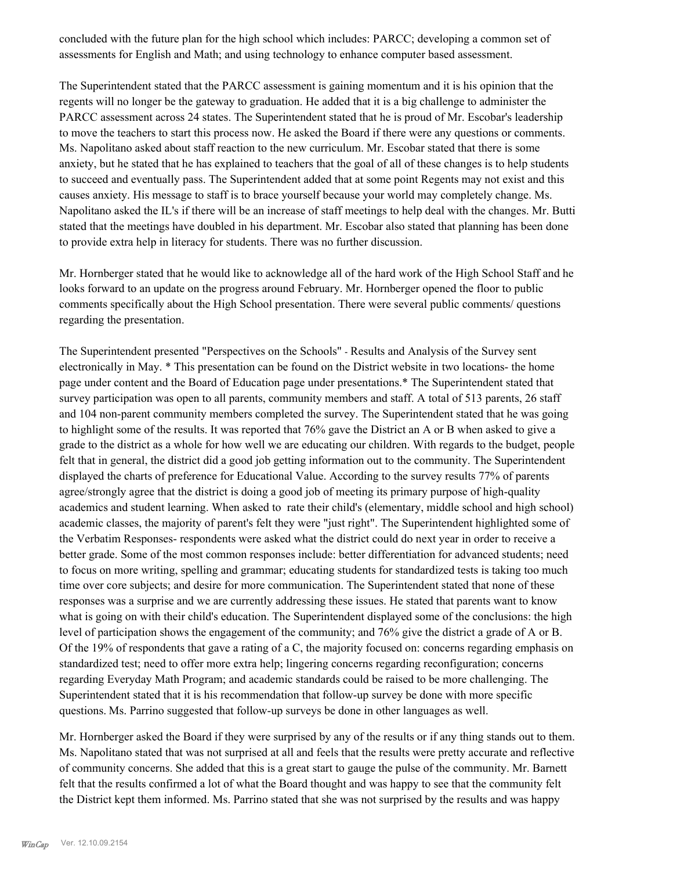concluded with the future plan for the high school which includes: PARCC; developing a common set of assessments for English and Math; and using technology to enhance computer based assessment.

The Superintendent stated that the PARCC assessment is gaining momentum and it is his opinion that the regents will no longer be the gateway to graduation. He added that it is a big challenge to administer the PARCC assessment across 24 states. The Superintendent stated that he is proud of Mr. Escobar's leadership to move the teachers to start this process now. He asked the Board if there were any questions or comments. Ms. Napolitano asked about staff reaction to the new curriculum. Mr. Escobar stated that there is some anxiety, but he stated that he has explained to teachers that the goal of all of these changes is to help students to succeed and eventually pass. The Superintendent added that at some point Regents may not exist and this causes anxiety. His message to staff is to brace yourself because your world may completely change. Ms. Napolitano asked the IL's if there will be an increase of staff meetings to help deal with the changes. Mr. Butti stated that the meetings have doubled in his department. Mr. Escobar also stated that planning has been done to provide extra help in literacy for students. There was no further discussion.

Mr. Hornberger stated that he would like to acknowledge all of the hard work of the High School Staff and he looks forward to an update on the progress around February. Mr. Hornberger opened the floor to public comments specifically about the High School presentation. There were several public comments/ questions regarding the presentation.

The Superintendent presented "Perspectives on the Schools" - Results and Analysis of the Survey sent electronically in May. \* This presentation can be found on the District website in two locations- the home page under content and the Board of Education page under presentations.\* The Superintendent stated that survey participation was open to all parents, community members and staff. A total of 513 parents, 26 staff and 104 non-parent community members completed the survey. The Superintendent stated that he was going to highlight some of the results. It was reported that 76% gave the District an A or B when asked to give a grade to the district as a whole for how well we are educating our children. With regards to the budget, people felt that in general, the district did a good job getting information out to the community. The Superintendent displayed the charts of preference for Educational Value. According to the survey results 77% of parents agree/strongly agree that the district is doing a good job of meeting its primary purpose of high-quality academics and student learning. When asked to rate their child's (elementary, middle school and high school) academic classes, the majority of parent's felt they were "just right". The Superintendent highlighted some of the Verbatim Responses- respondents were asked what the district could do next year in order to receive a better grade. Some of the most common responses include: better differentiation for advanced students; need to focus on more writing, spelling and grammar; educating students for standardized tests is taking too much time over core subjects; and desire for more communication. The Superintendent stated that none of these responses was a surprise and we are currently addressing these issues. He stated that parents want to know what is going on with their child's education. The Superintendent displayed some of the conclusions: the high level of participation shows the engagement of the community; and 76% give the district a grade of A or B. Of the 19% of respondents that gave a rating of a C, the majority focused on: concerns regarding emphasis on standardized test; need to offer more extra help; lingering concerns regarding reconfiguration; concerns regarding Everyday Math Program; and academic standards could be raised to be more challenging. The Superintendent stated that it is his recommendation that follow-up survey be done with more specific questions. Ms. Parrino suggested that follow-up surveys be done in other languages as well.

Mr. Hornberger asked the Board if they were surprised by any of the results or if any thing stands out to them. Ms. Napolitano stated that was not surprised at all and feels that the results were pretty accurate and reflective of community concerns. She added that this is a great start to gauge the pulse of the community. Mr. Barnett felt that the results confirmed a lot of what the Board thought and was happy to see that the community felt the District kept them informed. Ms. Parrino stated that she was not surprised by the results and was happy